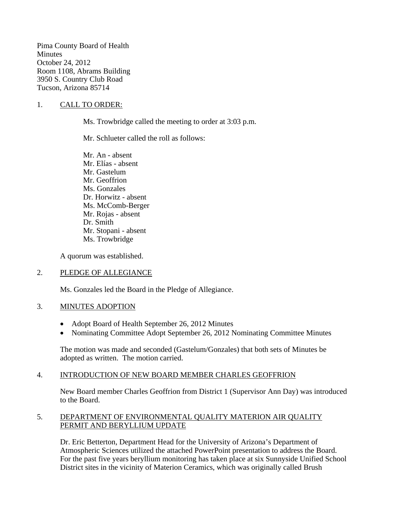Pima County Board of Health **Minutes** October 24, 2012 Room 1108, Abrams Building 3950 S. Country Club Road Tucson, Arizona 85714

### 1. CALL TO ORDER:

Ms. Trowbridge called the meeting to order at 3:03 p.m.

Mr. Schlueter called the roll as follows:

Mr. An - absent Mr. Elías - absent Mr. Gastelum Mr. Geoffrion Ms. Gonzales Dr. Horwitz - absent Ms. McComb-Berger Mr. Rojas - absent Dr. Smith Mr. Stopani - absent Ms. Trowbridge

A quorum was established.

#### 2. PLEDGE OF ALLEGIANCE

Ms. Gonzales led the Board in the Pledge of Allegiance.

#### 3. MINUTES ADOPTION

- Adopt Board of Health September 26, 2012 Minutes
- Nominating Committee Adopt September 26, 2012 Nominating Committee Minutes

The motion was made and seconded (Gastelum/Gonzales) that both sets of Minutes be adopted as written. The motion carried.

### 4. INTRODUCTION OF NEW BOARD MEMBER CHARLES GEOFFRION

New Board member Charles Geoffrion from District 1 (Supervisor Ann Day) was introduced to the Board.

#### 5. DEPARTMENT OF ENVIRONMENTAL QUALITY MATERION AIR QUALITY PERMIT AND BERYLLIUM UPDATE

Dr. Eric Betterton, Department Head for the University of Arizona's Department of Atmospheric Sciences utilized the attached PowerPoint presentation to address the Board. For the past five years beryllium monitoring has taken place at six Sunnyside Unified School District sites in the vicinity of Materion Ceramics, which was originally called Brush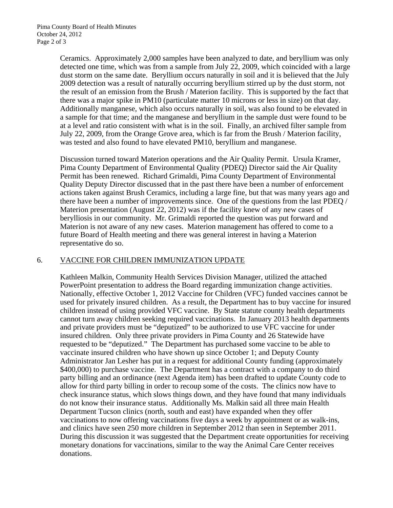Ceramics. Approximately 2,000 samples have been analyzed to date, and beryllium was only detected one time, which was from a sample from July 22, 2009, which coincided with a large dust storm on the same date. Beryllium occurs naturally in soil and it is believed that the July 2009 detection was a result of naturally occurring beryllium stirred up by the dust storm, not the result of an emission from the Brush / Materion facility. This is supported by the fact that there was a major spike in PM10 (particulate matter 10 microns or less in size) on that day. Additionally manganese, which also occurs naturally in soil, was also found to be elevated in a sample for that time; and the manganese and beryllium in the sample dust were found to be at a level and ratio consistent with what is in the soil. Finally, an archived filter sample from July 22, 2009, from the Orange Grove area, which is far from the Brush / Materion facility, was tested and also found to have elevated PM10, beryllium and manganese.

Discussion turned toward Materion operations and the Air Quality Permit. Ursula Kramer, Pima County Department of Environmental Quality (PDEQ) Director said the Air Quality Permit has been renewed. Richard Grimaldi, Pima County Department of Environmental Quality Deputy Director discussed that in the past there have been a number of enforcement actions taken against Brush Ceramics, including a large fine, but that was many years ago and there have been a number of improvements since. One of the questions from the last PDEQ / Materion presentation (August 22, 2012) was if the facility knew of any new cases of berylliosis in our community. Mr. Grimaldi reported the question was put forward and Materion is not aware of any new cases. Materion management has offered to come to a future Board of Health meeting and there was general interest in having a Materion representative do so.

#### 6. VACCINE FOR CHILDREN IMMUNIZATION UPDATE

Kathleen Malkin, Community Health Services Division Manager, utilized the attached PowerPoint presentation to address the Board regarding immunization change activities. Nationally, effective October 1, 2012 Vaccine for Children (VFC) funded vaccines cannot be used for privately insured children. As a result, the Department has to buy vaccine for insured children instead of using provided VFC vaccine. By State statute county health departments cannot turn away children seeking required vaccinations. In January 2013 health departments and private providers must be "deputized" to be authorized to use VFC vaccine for under insured children. Only three private providers in Pima County and 26 Statewide have requested to be "deputized." The Department has purchased some vaccine to be able to vaccinate insured children who have shown up since October 1; and Deputy County Administrator Jan Lesher has put in a request for additional County funding (approximately \$400,000) to purchase vaccine. The Department has a contract with a company to do third party billing and an ordinance (next Agenda item) has been drafted to update County code to allow for third party billing in order to recoup some of the costs. The clinics now have to check insurance status, which slows things down, and they have found that many individuals do not know their insurance status. Additionally Ms. Malkin said all three main Health Department Tucson clinics (north, south and east) have expanded when they offer vaccinations to now offering vaccinations five days a week by appointment or as walk-ins, and clinics have seen 250 more children in September 2012 than seen in September 2011. During this discussion it was suggested that the Department create opportunities for receiving monetary donations for vaccinations, similar to the way the Animal Care Center receives donations.